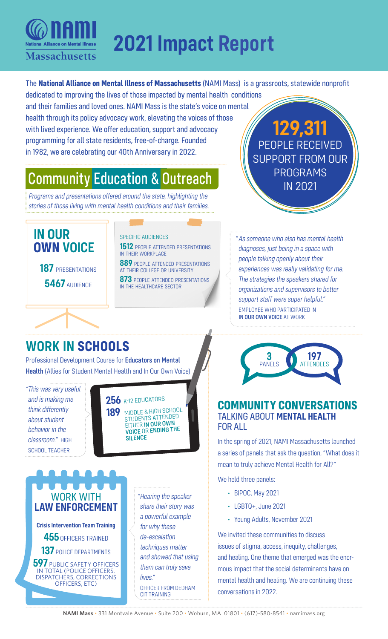

# **2021 Impact Report**

The **National Alliance on Mental Illness of Massachusetts** (NAMI Mass) is a grassroots, statewide nonprofit

dedicated to improving the lives of those impacted by mental health conditions and their families and loved ones. NAMI Mass is the state's voice on mental health through its policy advocacy work, elevating the voices of those with lived experience. We offer education, support and advocacy programming for all state residents, free-of-charge. Founded in 1982, we are celebrating our 40th Anniversary in 2022.

## Community Education & Outreach

*Programs and presentations offered around the state, highlighting the stories of those living with mental health conditions and their families.*



**5467** AUDIENCE

#### SPECIFIC AUDIENCES

**1512** PEOPLE ATTENDED PRESENTATIONS in their workplace

**889** people attended presentations at their college or university

**873** PEOPLE ATTENDED PRESENTATIONS in the healthcare sector

**129,311** PEOPLE RECEIVED SUPPORT FROM OUR PROGRAMS IN 2021

*"As someone who also has mental health diagnoses, just being in a space with people talking openly about their experiences was really validating for me. The strategies the speakers shared for organizations and supervisors to better support staff were super helpful."* EMPLOYEE WHO PARTICIPATED IN IN OUR OWN VOICE AT WORK

### **WORK IN SCHOOLS**

Professional Development Course for Educators on Mental Health (Allies for Student Mental Health and In Our Own Voice)

*"This was very useful and is making me think differently about student behavior in the classroom."* HIGH SCHOOL TEACHER

256 K-12 EDUCATORS **189** MIDDLE & HIGH SCHOOL STUDENTS ATTENDED EITHER IN OUR OWN VOICE OR ENDING THE SILENCE

### WORK WITH **LAW ENFORCEMENT**

**Crisis Intervention Team Training 455** OFFICERS TRAINED **137** POLICE DEPARTMENTS **597** PUBLIC SAFETY OFFICERS IN TOTAL (POLICE OFFICERS,

DISPATCHERS, CORRECTIONS OFFICERS, ETC)

*"Hearing the speaker share their story was a powerful example for why these de-escalatlon techniques matter and showed that using them can truly save lives."* OFFICER FROM DEDHAM CIT TRAINING



#### **COMMUNITY CONVERSATIONS** TALKING ABOUT **MENTAL HEALTH** FOR ALL

In the spring of 2021, NAMI Massachusetts launched a series of panels that ask the question, "What does it mean to truly achieve Mental Health for All?"

We held three panels:

- BIPOC, May 2021
- LGBTQ+, June 2021
- Young Adults, November 2021

We invited these communities to discuss issues of stigma, access, inequity, challenges, and healing. One theme that emerged was the enormous impact that the social determinants have on mental health and healing. We are continuing these conversations in 2022.